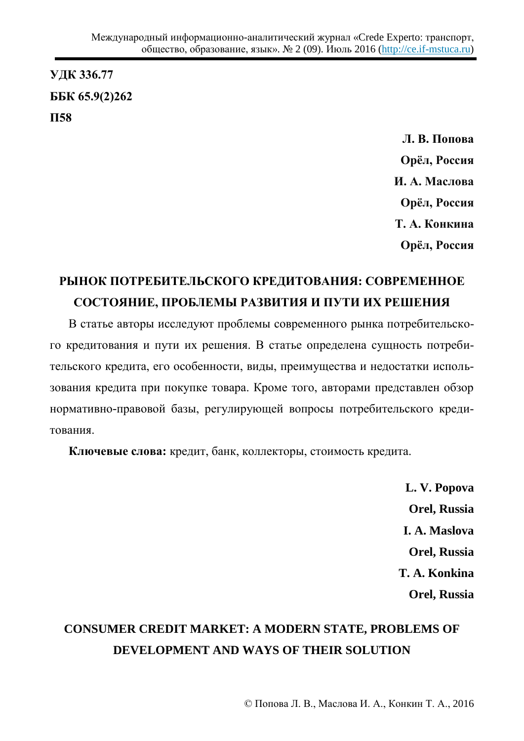**ɍȾɄ 336.77 ȻȻɄ 65.9(2)262 ɉ58**

> **Л. В. Попова** Орёл, Россия **И. А. Маслова** Орёл, Россия **Т. А. Конкина** Орёл, Россия

## РЫНОК ПОТРЕБИТЕЛЬСКОГО КРЕДИТОВАНИЯ: СОВРЕМЕННОЕ СОСТОЯНИЕ, ПРОБЛЕМЫ РАЗВИТИЯ И ПУТИ ИХ РЕШЕНИЯ

В статье авторы исследуют проблемы современного рынка потребительского кредитования и пути их решения. В статье определена сущность потребительского кредита, его особенности, виды, преимущества и недостатки использования кредита при покупке товара. Кроме того, авторами представлен обзор нормативно-правовой базы, регулирующей вопросы потребительского кредитования

**Ключевые слова:** кредит, банк, коллекторы, стоимость кредита.

**L. V. Popova Orel, Russia I. A. Maslova Orel, Russia T. A. Konkina Orel, Russia** 

## **CONSUMER CREDIT MARKET: A MODERN STATE, PROBLEMS OF DEVELOPMENT AND WAYS OF THEIR SOLUTION**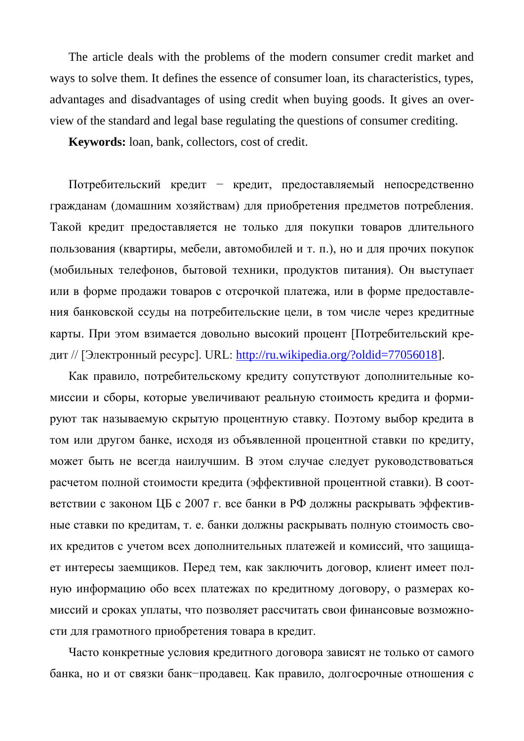The article deals with the problems of the modern consumer credit market and ways to solve them. It defines the essence of consumer loan, its characteristics, types, advantages and disadvantages of using credit when buying goods. It gives an overview of the standard and legal base regulating the questions of consumer crediting.

**Keywords:** loan, bank, collectors, cost of credit.

Потребительский кредит – кредит, предоставляемый непосредственно гражданам (домашним хозяйствам) для приобретения предметов потребления. Такой кредит предоставляется не только для покупки товаров длительного пользования (квартиры, мебели, автомобилей и т. п.), но и для прочих покупок (мобильных телефонов, бытовой техники, продуктов питания). Он выступает или в форме продажи товаров с отсрочкой платежа, или в форме предоставления банковской ссуды на потребительские цели, в том числе через кредитные карты. При этом взимается довольно высокий процент [Потребительский кредит // [Электронный ресурс]. URL: [http://ru.wikipedia.org/?oldid=77056018\]](http://ru.wikipedia.org/?oldid=77056018).

Как правило, потребительскому кредиту сопутствуют дополнительные комиссии и сборы, которые увеличивают реальную стоимость кредита и формируют так называемую скрытую процентную ставку. Поэтому выбор кредита в том или другом банке, исходя из объявленной процентной ставки по кредиту, может быть не всегда наилучшим. В этом случае следует руководствоваться расчетом полной стоимости кредита (эффективной процентной ставки). В соответствии с законом ЦБ с 2007 г. все банки в РФ должны раскрывать эффективные ставки по кредитам, т. е. банки должны раскрывать полную стоимость своих кредитов с учетом всех дополнительных платежей и комиссий, что защищает интересы заемщиков. Перед тем, как заключить договор, клиент имеет полную информацию обо всех платежах по кредитному договору, о размерах комиссий и сроках уплаты, что позволяет рассчитать свои финансовые возможности для грамотного приобретения товара в кредит.

Часто конкретные условия кредитного договора зависят не только от самого банка, но и от связки банк-продавец. Как правило, долгосрочные отношения с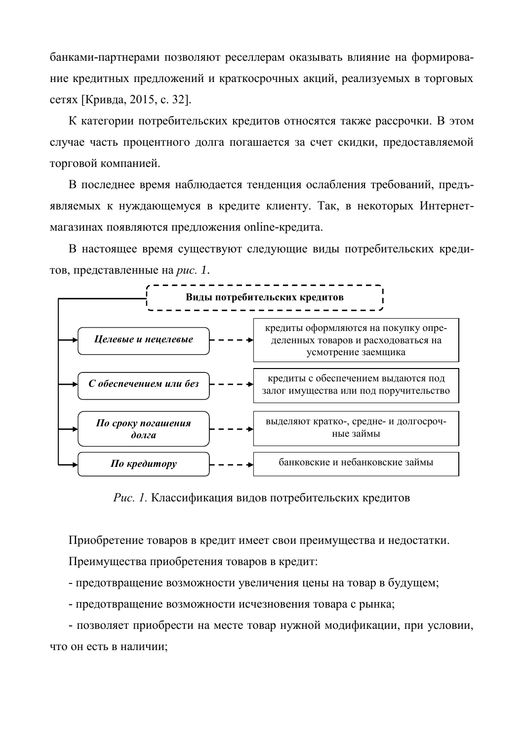банками-партнерами позволяют реселлерам оказывать влияние на формирование кредитных предложений и краткосрочных акций, реализуемых в торговых сетях [Кривда, 2015, с. 32].

К категории потребительских кредитов относятся также рассрочки. В этом случае часть процентного долга погашается за счет скидки, предоставляемой торговой компанией.

В последнее время наблюдается тенденция ослабления требований, предъявляемых к нуждающемуся в кредите клиенту. Так, в некоторых Интернетмагазинах появляются предложения online-кредита.

В настоящее время существуют следующие виды потребительских кредитов, представленные на *рис. 1*.



Рис. 1. Классификация видов потребительских кредитов

Приобретение товаров в кредит имеет свои преимущества и недостатки.

Преимущества приобретения товаров в кредит:

- предотвращение возможности увеличения цены на товар в будущем;

- предотвращение возможности исчезновения товара с рынка;

- позволяет приобрести на месте товар нужной модификации, при условии, что он есть в наличии;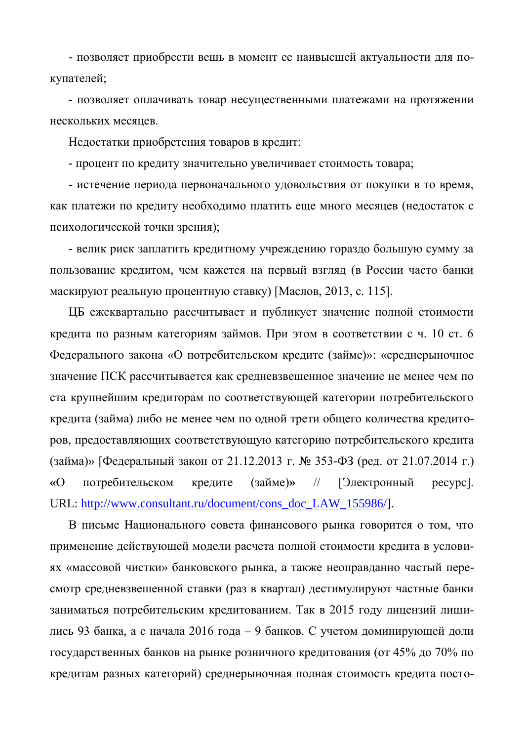- позволяет приобрести вещь в момент ее наивысшей актуальности для покупателей;

- позволяет оплачивать товар несущественными платежами на протяжении нескольких месяцев.

Недостатки приобретения товаров в кредит:

- процент по кредиту значительно увеличивает стоимость товара;

- истечение периода первоначального удовольствия от покупки в то время, как платежи по кредиту необходимо платить еще много месяцев (недостаток с психологической точки зрения);

- велик риск заплатить кредитному учреждению гораздо большую сумму за пользование кредитом, чем кажется на первый взгляд (в России часто банки маскируют реальную процентную ставку) [Маслов, 2013, с. 115].

ЦБ ежеквартально рассчитывает и публикует значение полной стоимости кредита по разным категориям займов. При этом в соответствии с ч. 10 ст. 6 Федерального закона «О потребительском кредите (займе)»: «среднерыночное значение ПСК рассчитывается как средневзвешенное значение не менее чем по ста крупнейшим кредиторам по соответствующей категории потребительского кредита (займа) либо не менее чем по одной трети общего количества кредиторов, предоставляющих соответствующую категорию потребительского кредита (займа)» [Федеральный закон от 21.12.2013 г. № 353-ФЗ (ред. от 21.07.2014 г.) «О потребительском кредите (займе)» // [Электронный ресурс]. URL: [http://www.consultant.ru/document/cons\\_doc\\_LAW\\_155986/\]](http://www.consultant.ru/document/cons_doc_LAW_155986/).

В письме Национального совета финансового рынка говорится о том, что применение действующей модели расчета полной стоимости кредита в условиях «массовой чистки» банковского рынка, а также неоправданно частый пересмотр средневзвешенной ставки (раз в квартал) дестимулируют частные банки заниматься потребительским кредитованием. Так в 2015 году лицензий лишились 93 банка, а с начала 2016 года – 9 банков. С учетом доминирующей доли государственных банков на рынке розничного кредитования (от 45% до 70% по кредитам разных категорий) среднерыночная полная стоимость кредита посто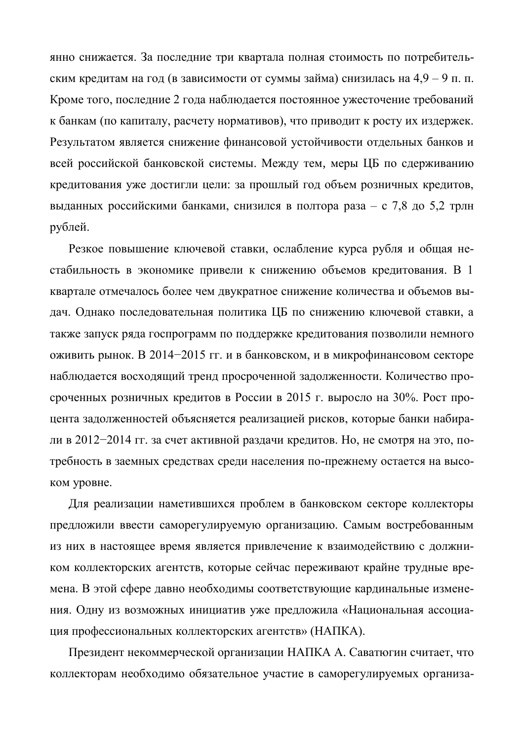янно снижается. За последние три квартала полная стоимость по потребительским кредитам на год (в зависимости от суммы займа) снизилась на 4,9 – 9 п. п. Кроме того, последние 2 года наблюдается постоянное ужесточение требований к банкам (по капиталу, расчету нормативов), что приводит к росту их издержек. Результатом является снижение финансовой устойчивости отдельных банков и всей российской банковской системы. Между тем, меры ЦБ по сдерживанию кредитования уже достигли цели: за прошлый год объем розничных кредитов, выданных российскими банками, снизился в полтора раза – с 7,8 до 5,2 трлн рублей.

Резкое повышение ключевой ставки, ослабление курса рубля и общая нестабильность в экономике привели к снижению объемов кредитования. В 1 квартале отмечалось более чем двукратное снижение количества и объемов выдач. Однако последовательная политика ЦБ по снижению ключевой ставки, а также запуск ряда госпрограмм по поддержке кредитования позволили немного оживить рынок. В 2014-2015 гг. и в банковском, и в микрофинансовом секторе наблюдается восходящий тренд просроченной задолженности. Количество просроченных розничных кредитов в России в 2015 г. выросло на 30%. Рост процента задолженностей объясняется реализацией рисков, которые банки набирали в 2012−2014 гг. за счет активной раздачи кредитов. Но, не смотря на это, потребность в заемных средствах среди населения по-прежнему остается на высоком уровне.

Для реализации наметившихся проблем в банковском секторе коллекторы предложили ввести саморегулируемую организацию. Самым востребованным из них в настоящее время является привлечение к взаимодействию с должником коллекторских агентств, которые сейчас переживают крайне трудные времена. В этой сфере давно необходимы соответствующие кардинальные изменения. Одну из возможных инициатив уже предложила «Национальная ассоциация профессиональных коллекторских агентств» (НАПКА).

Президент некоммерческой организации НАПКА А. Саватюгин считает, что коллекторам необходимо обязательное участие в саморегулируемых организа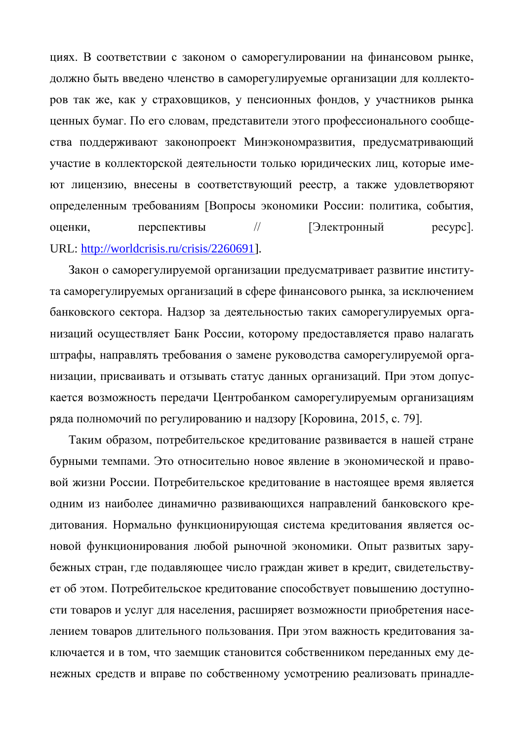циях. В соответствии с законом о саморегулировании на финансовом рынке, должно быть введено членство в саморегулируемые организации для коллекторов так же, как у страховщиков, у пенсионных фондов, у участников рынка ценных бумаг. По его словам, представители этого профессионального сообщества поддерживают законопроект Минэкономразвития, предусматривающий участие в коллекторской деятельности только юридических лиц, которые имеют лицензию, внесены в соответствующий реестр, а также удовлетворяют определенным требованиям [Вопросы экономики России: политика, события, оценки, перспективы // [Электронный ресурс]. URL: [http://worldcrisis.ru/crisis/2260691\]](http://worldcrisis.ru/crisis/2260691).

Закон о саморегулируемой организации предусматривает развитие института саморегулируемых организаций в сфере финансового рынка, за исключением банковского сектора. Надзор за деятельностью таких саморегулируемых организаций осуществляет Банк России, которому предоставляется право налагать штрафы, направлять требования о замене руководства саморегулируемой организации, присваивать и отзывать статус данных организаций. При этом допускается возможность передачи Центробанком саморегулируемым организациям ряда полномочий по регулированию и надзору [Коровина, 2015, с. 79].

Таким образом, потребительское кредитование развивается в нашей стране бурными темпами. Это относительно новое явление в экономической и правовой жизни России. Потребительское кредитование в настоящее время является одним из наиболее динамично развивающихся направлений банковского кредитования. Нормально функционирующая система кредитования является основой функционирования любой рыночной экономики. Опыт развитых зарубежных стран, где подавляющее число граждан живет в кредит, свидетельствует об этом. Потребительское кредитование способствует повышению доступности товаров и услуг для населения, расширяет возможности приобретения населением товаров длительного пользования. При этом важность кредитования заключается и в том, что заемщик становится собственником переданных ему денежных средств и вправе по собственному усмотрению реализовать принадле